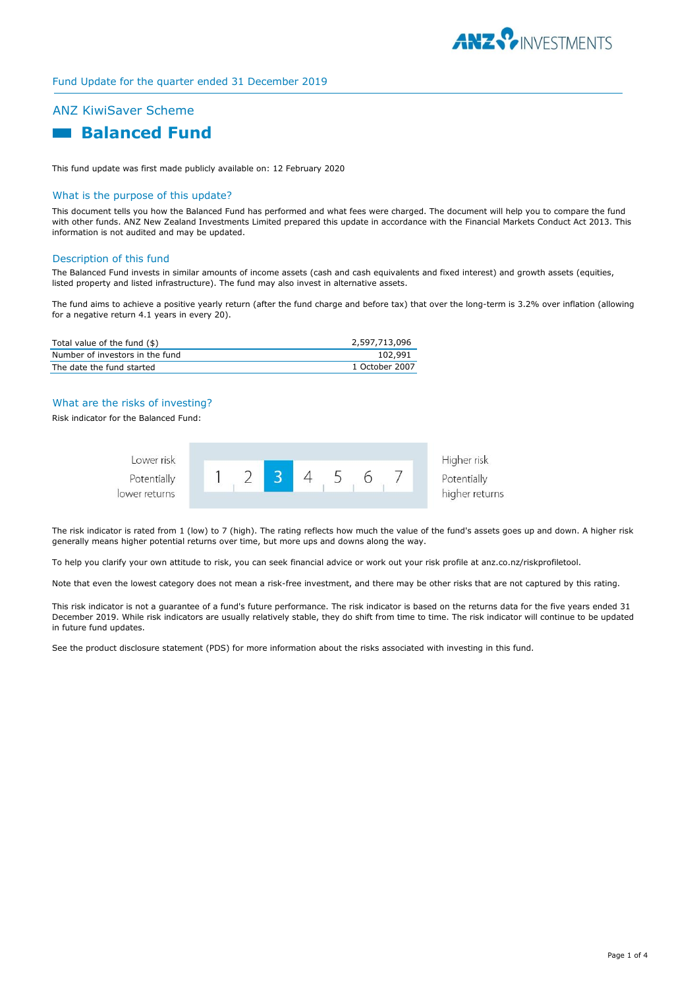

# Fund Update for the quarter ended 31 December 2019

# ANZ KiwiSaver Scheme

# **Balanced Fund**

This fund update was first made publicly available on: 12 February 2020

# What is the purpose of this update?

This document tells you how the Balanced Fund has performed and what fees were charged. The document will help you to compare the fund with other funds. ANZ New Zealand Investments Limited prepared this update in accordance with the Financial Markets Conduct Act 2013. This information is not audited and may be updated.

#### Description of this fund

The Balanced Fund invests in similar amounts of income assets (cash and cash equivalents and fixed interest) and growth assets (equities, listed property and listed infrastructure). The fund may also invest in alternative assets.

The fund aims to achieve a positive yearly return (after the fund charge and before tax) that over the long-term is 3.2% over inflation (allowing for a negative return 4.1 years in every 20).

| Total value of the fund (\$)    | 2,597,713,096  |
|---------------------------------|----------------|
| Number of investors in the fund | 102.991        |
| The date the fund started       | 1 October 2007 |

# What are the risks of investing?

Risk indicator for the Balanced Fund:



The risk indicator is rated from 1 (low) to 7 (high). The rating reflects how much the value of the fund's assets goes up and down. A higher risk generally means higher potential returns over time, but more ups and downs along the way.

To help you clarify your own attitude to risk, you can seek financial advice or work out your risk profile at anz.co.nz/riskprofiletool.

Note that even the lowest category does not mean a risk-free investment, and there may be other risks that are not captured by this rating.

This risk indicator is not a guarantee of a fund's future performance. The risk indicator is based on the returns data for the five years ended 31 December 2019. While risk indicators are usually relatively stable, they do shift from time to time. The risk indicator will continue to be updated in future fund updates.

See the product disclosure statement (PDS) for more information about the risks associated with investing in this fund.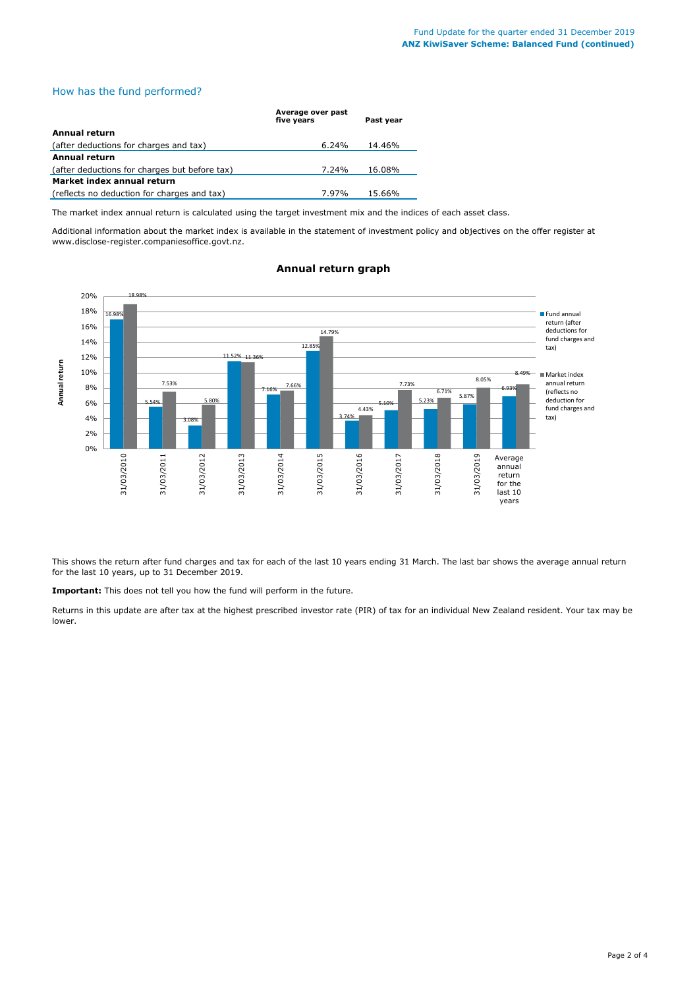# How has the fund performed?

|                                               | Average over past<br>five vears | Past vear |
|-----------------------------------------------|---------------------------------|-----------|
| Annual return                                 |                                 |           |
| (after deductions for charges and tax)        | $6.24\%$                        | 14.46%    |
| <b>Annual return</b>                          |                                 |           |
| (after deductions for charges but before tax) | 7.24%                           | 16.08%    |
| Market index annual return                    |                                 |           |
| (reflects no deduction for charges and tax)   | 7.97%                           | 15.66%    |

The market index annual return is calculated using the target investment mix and the indices of each asset class.

Additional information about the market index is available in the statement of investment policy and objectives on the offer register at www.disclose-register.companiesoffice.govt.nz.



# **Annual return graph**

This shows the return after fund charges and tax for each of the last 10 years ending 31 March. The last bar shows the average annual return for the last 10 years, up to 31 December 2019.

**Important:** This does not tell you how the fund will perform in the future.

Returns in this update are after tax at the highest prescribed investor rate (PIR) of tax for an individual New Zealand resident. Your tax may be lower.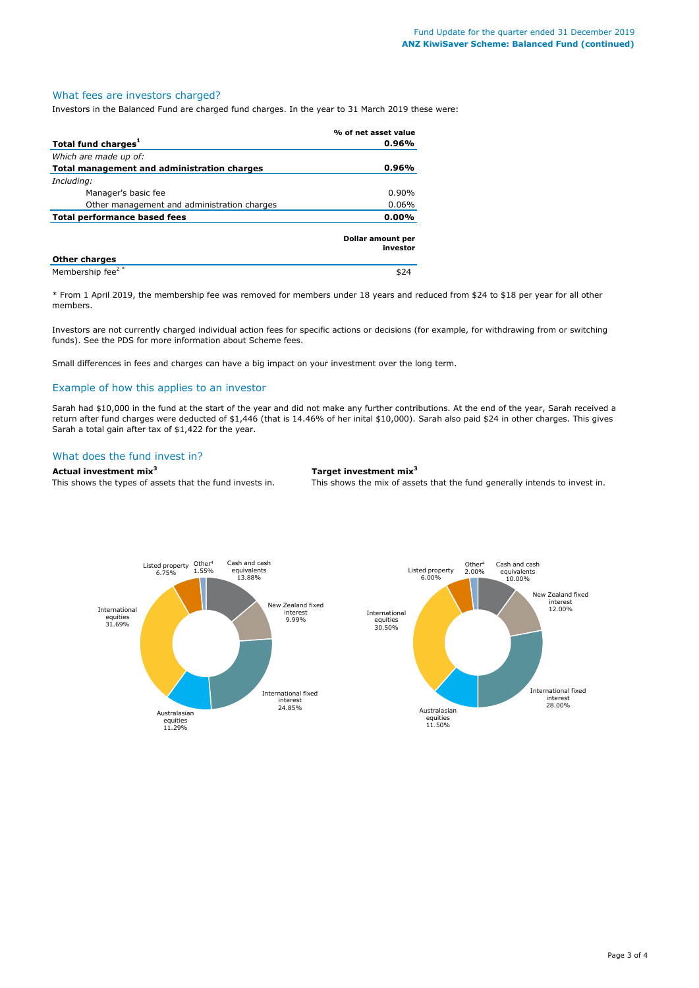#### What fees are investors charged?

Investors in the Balanced Fund are charged fund charges. In the year to 31 March 2019 these were:

|                                             | % of net asset value          |  |
|---------------------------------------------|-------------------------------|--|
| Total fund charges <sup>1</sup>             | 0.96%                         |  |
| Which are made up of:                       |                               |  |
| Total management and administration charges | 0.96%                         |  |
| Including:                                  |                               |  |
| Manager's basic fee                         | $0.90\%$                      |  |
| Other management and administration charges | $0.06\%$                      |  |
| <b>Total performance based fees</b>         | $0.00\%$                      |  |
|                                             | Dollar amount per<br>investor |  |
| <b>Other charges</b>                        |                               |  |
| Membership fee <sup>2*</sup>                |                               |  |

\* From 1 April 2019, the membership fee was removed for members under 18 years and reduced from \$24 to \$18 per year for all other members.

Investors are not currently charged individual action fees for specific actions or decisions (for example, for withdrawing from or switching funds). See the PDS for more information about Scheme fees.

Small differences in fees and charges can have a big impact on your investment over the long term.

# Example of how this applies to an investor

Sarah had \$10,000 in the fund at the start of the year and did not make any further contributions. At the end of the year, Sarah received a return after fund charges were deducted of \$1,446 (that is 14.46% of her inital \$10,000). Sarah also paid \$24 in other charges. This gives Sarah a total gain after tax of \$1,422 for the year.

#### What does the fund invest in?

#### **Actual investment mix<sup>3</sup> Target investment mix<sup>3</sup>**

This shows the types of assets that the fund invests in. This shows the mix of assets that the fund generally intends to invest in.